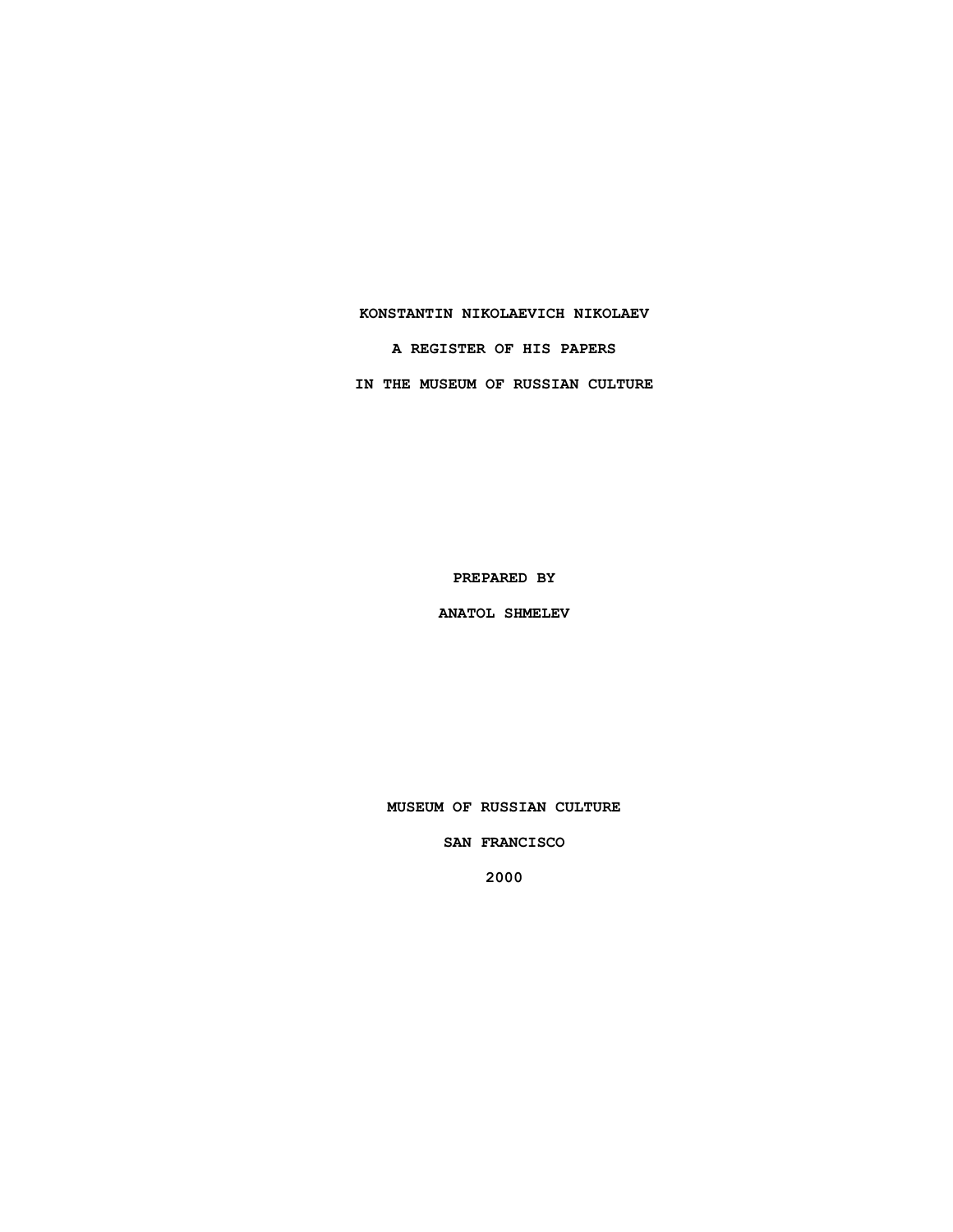## **KONSTANTIN NIKOLAEVICH NIKOLAEV**

**A REGISTER OF HIS PAPERS**

**IN THE MUSEUM OF RUSSIAN CULTURE**

**PREPARED BY**

**ANATOL SHMELEV**

**MUSEUM OF RUSSIAN CULTURE**

**SAN FRANCISCO**

**2000**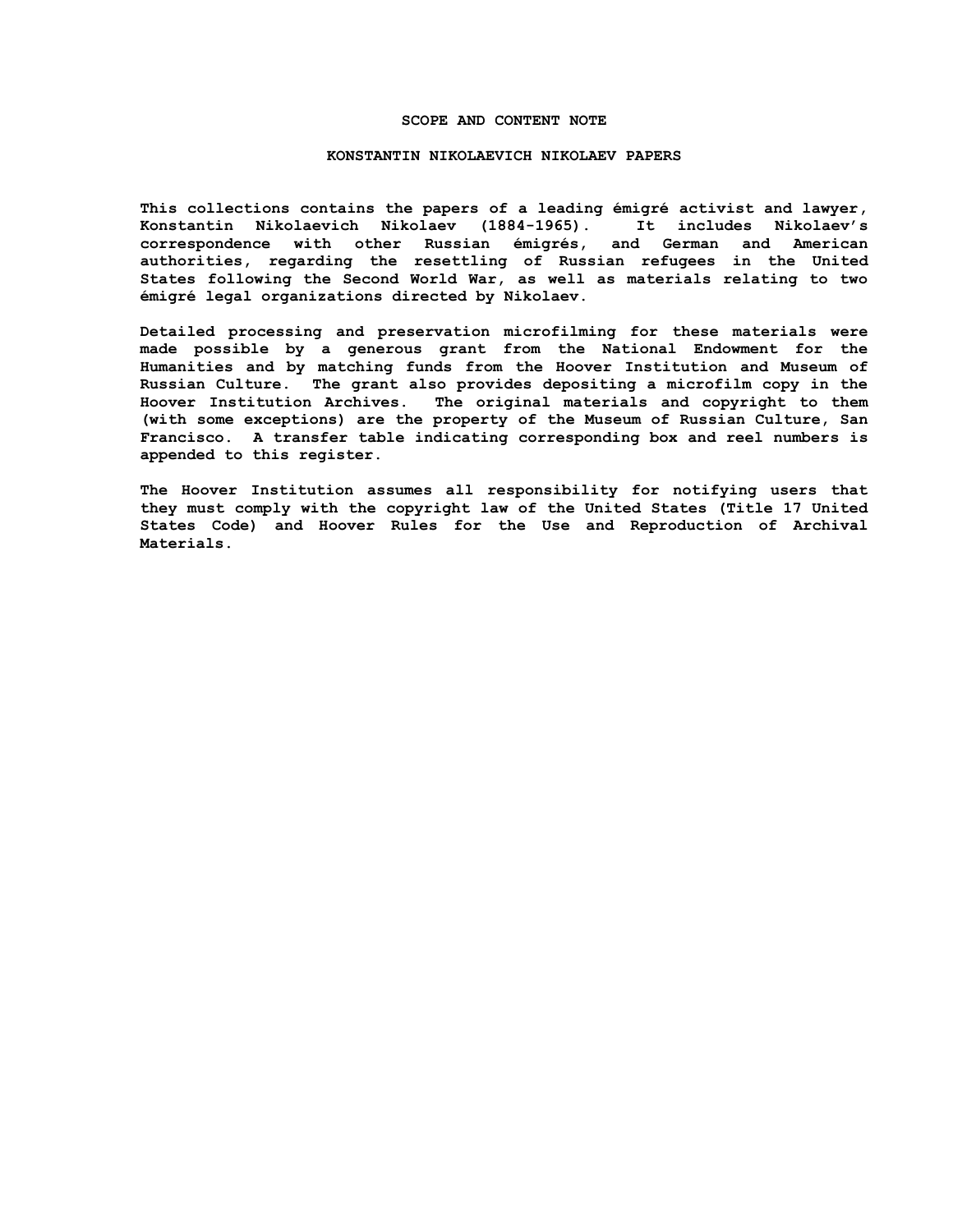### **SCOPE AND CONTENT NOTE**

#### **KONSTANTIN NIKOLAEVICH NIKOLAEV PAPERS**

**This collections contains the papers of a leading émigré activist and lawyer, Konstantin Nikolaevich Nikolaev (1884-1965). It includes Nikolaev's correspondence with other Russian émigrés, and German and American authorities, regarding the resettling of Russian refugees in the United States following the Second World War, as well as materials relating to two émigré legal organizations directed by Nikolaev.** 

**Detailed processing and preservation microfilming for these materials were made possible by a generous grant from the National Endowment for the Humanities and by matching funds from the Hoover Institution and Museum of Russian Culture. The grant also provides depositing a microfilm copy in the Hoover Institution Archives. The original materials and copyright to them (with some exceptions) are the property of the Museum of Russian Culture, San Francisco. A transfer table indicating corresponding box and reel numbers is appended to this register.**

**The Hoover Institution assumes all responsibility for notifying users that they must comply with the copyright law of the United States (Title 17 United States Code) and Hoover Rules for the Use and Reproduction of Archival Materials.**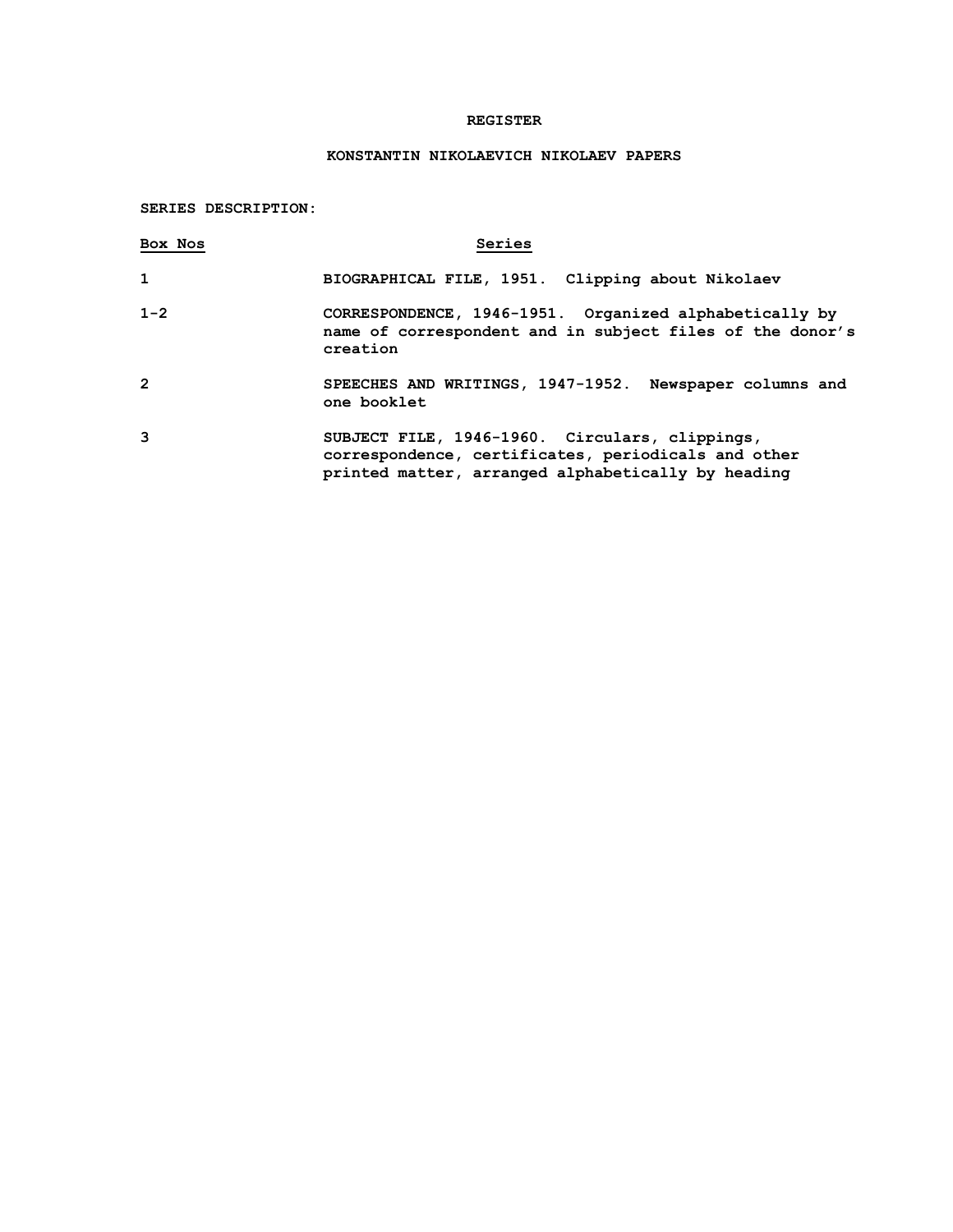## **REGISTER**

# **KONSTANTIN NIKOLAEVICH NIKOLAEV PAPERS**

**SERIES DESCRIPTION:**

| Box Nos      | Series                                                                                                                                                      |
|--------------|-------------------------------------------------------------------------------------------------------------------------------------------------------------|
| $\mathbf{1}$ | BIOGRAPHICAL FILE, 1951. Clipping about Nikolaev                                                                                                            |
| $1 - 2$      | CORRESPONDENCE, 1946-1951. Organized alphabetically by<br>name of correspondent and in subject files of the donor's<br>creation                             |
| $\mathbf{2}$ | SPEECHES AND WRITINGS, 1947-1952. Newspaper columns and<br>one booklet                                                                                      |
| 3            | SUBJECT FILE, 1946-1960. Circulars, clippings,<br>correspondence, certificates, periodicals and other<br>printed matter, arranged alphabetically by heading |